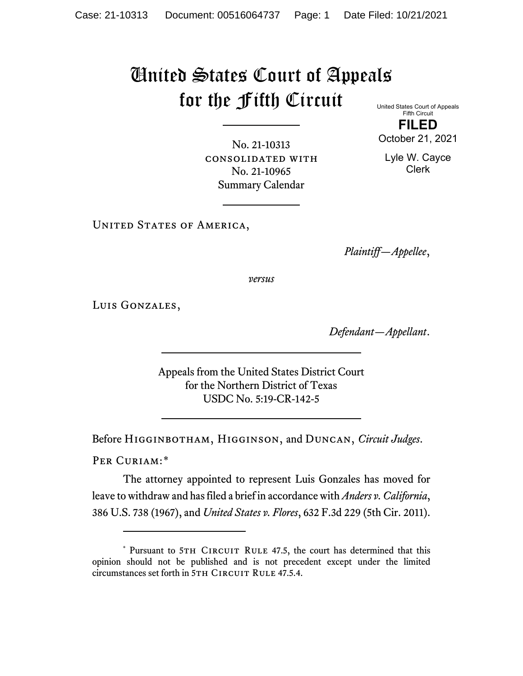## United States Court of Appeals for the Fifth Circuit

United States Court of Appeals Fifth Circuit

**FILED** October 21, 2021

No. 21-10313 consolidated with No. 21-10965 Summary Calendar

Lyle W. Cayce Clerk

UNITED STATES OF AMERICA,

*Plaintiff—Appellee*,

*versus*

Luis Gonzales,

*Defendant—Appellant*.

Appeals from the United States District Court for the Northern District of Texas USDC No. 5:19-CR-142-5

Before Higginbotham, Higginson, and Duncan, *Circuit Judges*.

PER CURIAM:[\\*](#page-0-0)

The attorney appointed to represent Luis Gonzales has moved for leave to withdraw and has filed a brief in accordance with *Anders v. California*, 386 U.S. 738 (1967), and *United States v. Flores*, 632 F.3d 229 (5th Cir. 2011).

<span id="page-0-0"></span><sup>\*</sup> Pursuant to 5TH CIRCUIT RULE 47.5, the court has determined that this opinion should not be published and is not precedent except under the limited circumstances set forth in 5TH CIRCUIT RULE 47.5.4.